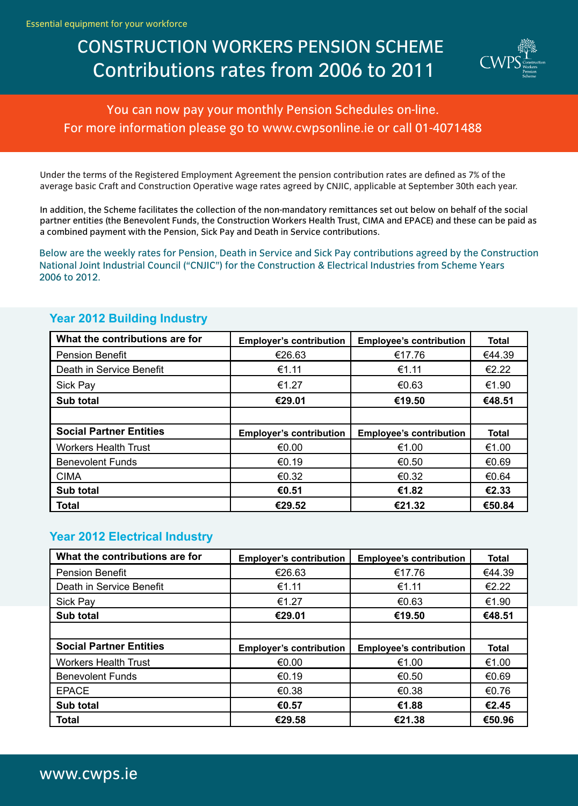# CONSTRUCTION WORKERS PENSION SCHEME Contributions rates from 2006 to 2011



You can now pay your monthly Pension Schedules on-line. For more information please go to www.cwpsonline.ie or call 01-4071488

Under the terms of the Registered Employment Agreement the pension contribution rates are defined as 7% of the average basic Craft and Construction Operative wage rates agreed by CNJIC, applicable at September 30th each year.

In addition, the Scheme facilitates the collection of the non-mandatory remittances set out below on behalf of the social partner entities (the Benevolent Funds, the Construction Workers Health Trust, CIMA and EPACE) and these can be paid as a combined payment with the Pension, Sick Pay and Death in Service contributions.

Below are the weekly rates for Pension, Death in Service and Sick Pay contributions agreed by the Construction National Joint Industrial Council ("CNJIC") for the Construction & Electrical Industries from Scheme Years 2006 to 2012.

| What the contributions are for | <b>Employer's contribution</b> | <b>Employee's contribution</b> | <b>Total</b> |
|--------------------------------|--------------------------------|--------------------------------|--------------|
| <b>Pension Benefit</b>         | €26.63                         | €17.76                         | €44.39       |
| Death in Service Benefit       | €1.11                          | €1.11                          | €2.22        |
| Sick Pay                       | €1.27                          | €0.63                          | €1.90        |
| Sub total                      | €29.01                         | €19.50                         | €48.51       |
|                                |                                |                                |              |
| <b>Social Partner Entities</b> | <b>Employer's contribution</b> | <b>Employee's contribution</b> | <b>Total</b> |
| <b>Workers Health Trust</b>    | €0.00                          | €1.00                          | €1.00        |
| <b>Benevolent Funds</b>        | €0.19                          | €0.50                          | €0.69        |
| <b>CIMA</b>                    | €0.32                          | €0.32                          | €0.64        |
| Sub total                      | €0.51                          | €1.82                          | €2.33        |
| <b>Total</b>                   | €29.52                         | €21.32                         | €50.84       |

#### **Year 2012 Building Industry**

#### **Year 2012 Electrical Industry**

| What the contributions are for | <b>Employer's contribution</b> | <b>Employee's contribution</b> | <b>Total</b> |
|--------------------------------|--------------------------------|--------------------------------|--------------|
| <b>Pension Benefit</b>         | €26.63                         | €17.76                         | €44.39       |
| Death in Service Benefit       | €1.11                          | €1.11                          | €2.22        |
| <b>Sick Pay</b>                | €1.27                          | €0.63                          | €1.90        |
| Sub total                      | €29.01                         | €19.50                         | €48.51       |
|                                |                                |                                |              |
|                                |                                |                                |              |
| <b>Social Partner Entities</b> | <b>Employer's contribution</b> | <b>Employee's contribution</b> | <b>Total</b> |
| <b>Workers Health Trust</b>    | €0.00                          | €1.00                          | €1.00        |
| <b>Benevolent Funds</b>        | €0.19                          | €0.50                          | €0.69        |
| <b>EPACE</b>                   | €0.38                          | €0.38                          | €0.76        |
| Sub total                      | €0.57                          | €1.88                          | €2.45        |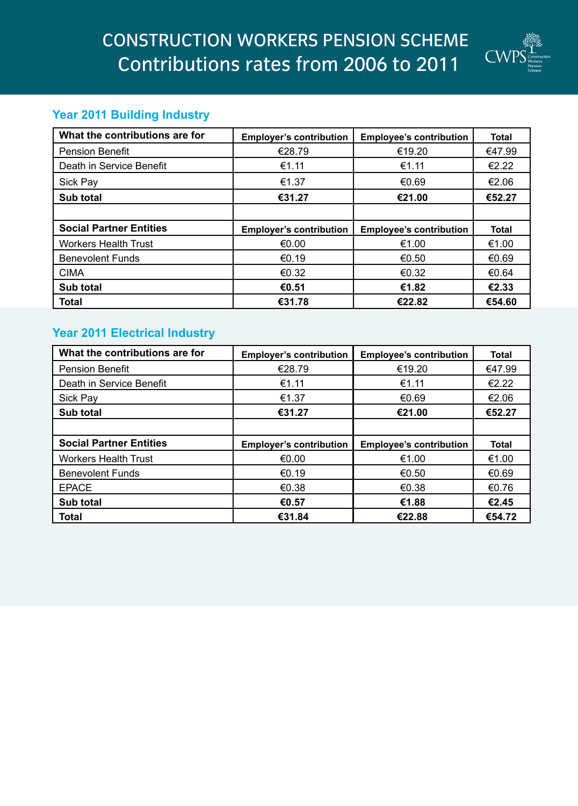

## **Year 2011 Building Industry**

| What the contributions are for | <b>Employer's contribution</b> | <b>Employee's contribution</b> | <b>Total</b> |
|--------------------------------|--------------------------------|--------------------------------|--------------|
| <b>Pension Benefit</b>         | €28.79                         | €19.20                         | €47.99       |
| Death in Service Benefit       | €1.11                          | €1.11                          | €2.22        |
| Sick Pay                       | €1.37                          | €0.69                          | €2.06        |
| Sub total                      | €31.27                         | €21.00                         | €52.27       |
|                                |                                |                                |              |
| <b>Social Partner Entities</b> | <b>Employer's contribution</b> | <b>Employee's contribution</b> | <b>Total</b> |
| <b>Workers Health Trust</b>    | €0.00                          | €1.00                          | €1.00        |
| <b>Benevolent Funds</b>        | €0.19                          | €0.50                          | €0.69        |
| <b>CIMA</b>                    | €0.32                          | €0.32                          | €0.64        |
| Sub total                      | €0.51                          | €1.82                          | €2.33        |
| <b>Total</b>                   | €31.78                         | €22.82                         | €54.60       |

# **Year 2011 Electrical Industry**

| What the contributions are for | <b>Employer's contribution</b> | <b>Employee's contribution</b> | <b>Total</b> |
|--------------------------------|--------------------------------|--------------------------------|--------------|
| <b>Pension Benefit</b>         | €28.79                         | €19.20                         | €47.99       |
| Death in Service Benefit       | €1.11                          | €1.11                          | €2.22        |
| <b>Sick Pay</b>                | €1.37                          | €0.69                          | €2.06        |
| Sub total                      | €31.27                         | €21.00                         | €52.27       |
|                                |                                |                                |              |
|                                |                                |                                |              |
| <b>Social Partner Entities</b> | <b>Employer's contribution</b> | <b>Employee's contribution</b> | <b>Total</b> |
| <b>Workers Health Trust</b>    | €0.00                          | €1.00                          | €1.00        |
| <b>Benevolent Funds</b>        | €0.19                          | €0.50                          | €0.69        |
| <b>EPACE</b>                   | €0.38                          | €0.38                          | €0.76        |
| Sub total                      | €0.57                          | €1.88                          | €2.45        |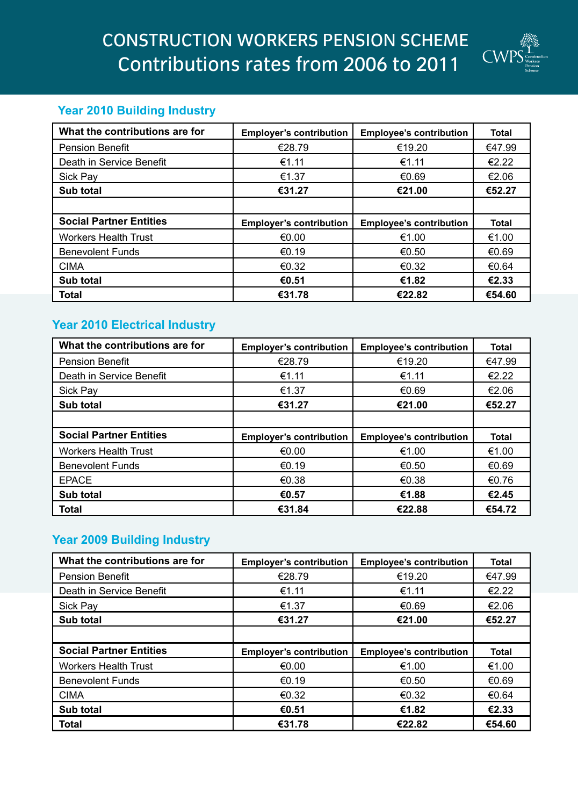

## **Year 2010 Building Industry**

| What the contributions are for | <b>Employer's contribution</b> | <b>Employee's contribution</b> | <b>Total</b> |
|--------------------------------|--------------------------------|--------------------------------|--------------|
| <b>Pension Benefit</b>         | €28.79                         | €19.20                         | €47.99       |
| Death in Service Benefit       | €1.11                          | €1.11                          | €2.22        |
| Sick Pay                       | €1.37                          | €0.69                          | €2.06        |
| Sub total                      | €31.27                         | €21.00                         | €52.27       |
|                                |                                |                                |              |
|                                |                                |                                |              |
| <b>Social Partner Entities</b> | <b>Employer's contribution</b> | <b>Employee's contribution</b> | <b>Total</b> |
| <b>Workers Health Trust</b>    | €0.00                          | €1.00                          | €1.00        |
| <b>Benevolent Funds</b>        | €0.19                          | €0.50                          | €0.69        |
| <b>CIMA</b>                    | €0.32                          | €0.32                          | €0.64        |
| Sub total                      | €0.51                          | €1.82                          | €2.33        |

### **Year 2010 Electrical Industry**

| What the contributions are for | <b>Employer's contribution</b> | <b>Employee's contribution</b> | <b>Total</b> |
|--------------------------------|--------------------------------|--------------------------------|--------------|
| <b>Pension Benefit</b>         | €28.79                         | €19.20                         | €47.99       |
| Death in Service Benefit       | €1.11                          | €1.11                          | €2.22        |
| Sick Pay                       | €1.37                          | €0.69                          | €2.06        |
| Sub total                      | €31.27                         | €21.00                         | €52.27       |
|                                |                                |                                |              |
| <b>Social Partner Entities</b> | <b>Employer's contribution</b> | <b>Employee's contribution</b> | <b>Total</b> |
|                                |                                |                                |              |
| <b>Workers Health Trust</b>    | €0.00                          | €1.00                          | €1.00        |
| <b>Benevolent Funds</b>        | €0.19                          | €0.50                          | €0.69        |
| <b>EPACE</b>                   | €0.38                          | €0.38                          | €0.76        |
| Sub total                      | €0.57                          | €1.88                          | €2.45        |

### **Year 2009 Building Industry**

| What the contributions are for | <b>Employer's contribution</b> | <b>Employee's contribution</b> | <b>Total</b> |
|--------------------------------|--------------------------------|--------------------------------|--------------|
| <b>Pension Benefit</b>         | €28.79                         | €19.20                         | €47.99       |
| Death in Service Benefit       | €1.11                          | €1.11                          | €2.22        |
| Sick Pay                       | €1.37                          | €0.69                          | €2.06        |
| Sub total                      | €31.27                         | €21.00                         | €52.27       |
|                                |                                |                                |              |
| <b>Social Partner Entities</b> | <b>Employer's contribution</b> | <b>Employee's contribution</b> | <b>Total</b> |
| <b>Workers Health Trust</b>    |                                |                                |              |
|                                | €0.00                          | €1.00                          | €1.00        |
| <b>Benevolent Funds</b>        | €0.19                          | €0.50                          | €0.69        |
| <b>CIMA</b>                    | €0.32                          | €0.32                          | €0.64        |
| Sub total                      | €0.51                          | €1.82                          | €2.33        |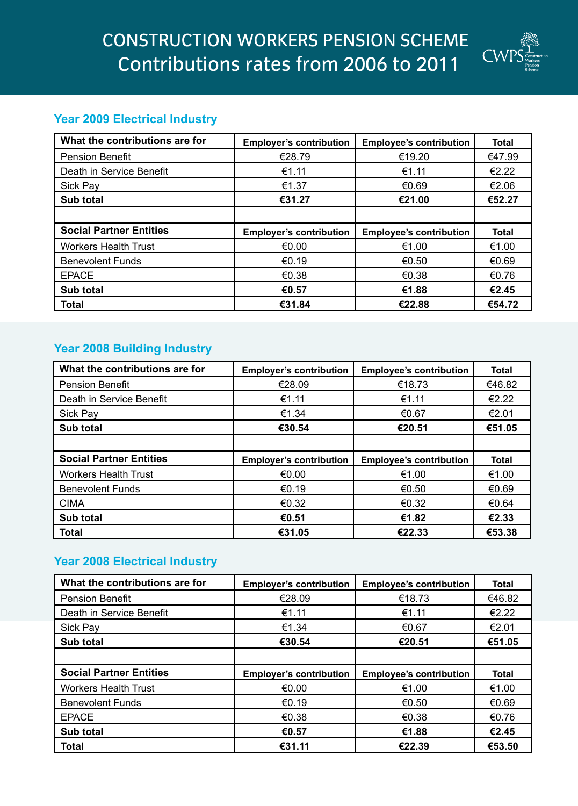

### **Year 2009 Electrical Industry**

| What the contributions are for | <b>Employer's contribution</b> | <b>Employee's contribution</b> | <b>Total</b> |
|--------------------------------|--------------------------------|--------------------------------|--------------|
| <b>Pension Benefit</b>         | €28.79                         | €19.20                         | €47.99       |
| Death in Service Benefit       | €1.11                          | €1.11                          | €2.22        |
| Sick Pay                       | €1.37                          | €0.69                          | €2.06        |
| Sub total                      | €31.27                         | €21.00                         | €52.27       |
|                                |                                |                                |              |
|                                |                                |                                |              |
| <b>Social Partner Entities</b> | <b>Employer's contribution</b> | <b>Employee's contribution</b> | <b>Total</b> |
| <b>Workers Health Trust</b>    | €0.00                          | €1.00                          | €1.00        |
| <b>Benevolent Funds</b>        | €0.19                          | €0.50                          | €0.69        |
| <b>EPACE</b>                   | €0.38                          | €0.38                          | €0.76        |
| Sub total                      | €0.57                          | €1.88                          | €2.45        |

## **Year 2008 Building Industry**

| What the contributions are for | <b>Employer's contribution</b> | <b>Employee's contribution</b> | <b>Total</b> |
|--------------------------------|--------------------------------|--------------------------------|--------------|
| <b>Pension Benefit</b>         | €28.09                         | €18.73                         | €46.82       |
| Death in Service Benefit       | €1.11                          | €1.11                          | €2.22        |
| Sick Pay                       | €1.34                          | €0.67                          | €2.01        |
| Sub total                      | €30.54                         | €20.51                         | €51.05       |
|                                |                                |                                |              |
| <b>Social Partner Entities</b> | <b>Employer's contribution</b> | <b>Employee's contribution</b> | <b>Total</b> |
| <b>Workers Health Trust</b>    | €0.00                          | €1.00                          | €1.00        |
| <b>Benevolent Funds</b>        | €0.19                          | €0.50                          | €0.69        |
| <b>CIMA</b>                    | €0.32                          | €0.32                          | €0.64        |
| Sub total                      | €0.51                          | €1.82                          | €2.33        |
| <b>Total</b>                   | €31.05                         | €22.33                         | €53.38       |

## **Year 2008 Electrical Industry**

| What the contributions are for | <b>Employer's contribution</b> | <b>Employee's contribution</b> | <b>Total</b> |
|--------------------------------|--------------------------------|--------------------------------|--------------|
| <b>Pension Benefit</b>         | €28.09                         | €18.73                         | €46.82       |
| Death in Service Benefit       | €1.11                          | €1.11                          | €2.22        |
| Sick Pay                       | €1.34                          | €0.67                          | €2.01        |
| Sub total                      | €30.54                         | €20.51                         | €51.05       |
|                                |                                |                                |              |
| <b>Social Partner Entities</b> | <b>Employer's contribution</b> | <b>Employee's contribution</b> | <b>Total</b> |
| <b>Workers Health Trust</b>    | €0.00                          | €1.00                          | €1.00        |
| <b>Benevolent Funds</b>        | €0.19                          | €0.50                          | €0.69        |
| <b>EPACE</b>                   | €0.38                          | €0.38                          | €0.76        |
| Sub total                      | €0.57                          | €1.88                          | €2.45        |
| <b>Total</b>                   | €31.11                         | €22.39                         | €53.50       |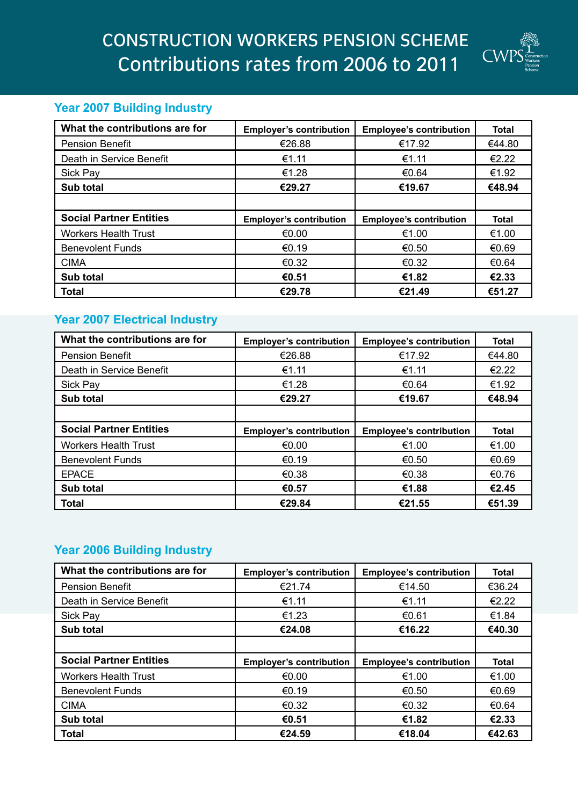

## **Year 2007 Building Industry**

| What the contributions are for | <b>Employer's contribution</b> | <b>Employee's contribution</b> | <b>Total</b> |
|--------------------------------|--------------------------------|--------------------------------|--------------|
| <b>Pension Benefit</b>         | €26.88                         | €17.92                         | €44.80       |
| Death in Service Benefit       | €1.11                          | €1.11                          | €2.22        |
| <b>Sick Pay</b>                | €1.28                          | €0.64                          | €1.92        |
| Sub total                      | €29.27                         | €19.67                         | €48.94       |
|                                |                                |                                |              |
| <b>Social Partner Entities</b> | <b>Employer's contribution</b> | <b>Employee's contribution</b> | <b>Total</b> |
| <b>Workers Health Trust</b>    | €0.00                          | €1.00                          | €1.00        |
| <b>Benevolent Funds</b>        | €0.19                          | €0.50                          | €0.69        |
| <b>CIMA</b>                    | €0.32                          | €0.32                          | €0.64        |
| Sub total                      | €0.51                          | €1.82                          | €2.33        |
| <b>Total</b>                   | €29.78                         | €21.49                         | €51.27       |

#### **Year 2007 Electrical Industry**

| What the contributions are for | <b>Employer's contribution</b> | <b>Employee's contribution</b> | <b>Total</b> |
|--------------------------------|--------------------------------|--------------------------------|--------------|
| <b>Pension Benefit</b>         | €26.88                         | €17.92                         | €44.80       |
| Death in Service Benefit       | €1.11                          | €1.11                          | €2.22        |
| <b>Sick Pay</b>                | €1.28                          | €0.64                          | €1.92        |
| Sub total                      | €29.27                         | €19.67                         | €48.94       |
|                                |                                |                                |              |
| <b>Social Partner Entities</b> | <b>Employer's contribution</b> | <b>Employee's contribution</b> | <b>Total</b> |
| <b>Workers Health Trust</b>    | €0.00                          | €1.00                          | €1.00        |
| <b>Benevolent Funds</b>        | €0.19                          | €0.50                          | €0.69        |
| <b>EPACE</b>                   | €0.38                          | €0.38                          | €0.76        |
| Sub total                      | €0.57                          | €1.88                          | €2.45        |
| <b>Total</b>                   | €29.84                         | €21.55                         | €51.39       |

## **Year 2006 Building Industry**

| What the contributions are for | <b>Employer's contribution</b> | <b>Employee's contribution</b> | <b>Total</b> |
|--------------------------------|--------------------------------|--------------------------------|--------------|
| <b>Pension Benefit</b>         | €21.74                         | €14.50                         | €36.24       |
| Death in Service Benefit       | €1.11                          | €1.11                          | €2.22        |
| <b>Sick Pay</b>                | €1.23                          | €0.61                          | €1.84        |
| Sub total                      | €24.08                         | €16.22                         | €40.30       |
|                                |                                |                                |              |
|                                |                                |                                |              |
| <b>Social Partner Entities</b> | <b>Employer's contribution</b> | <b>Employee's contribution</b> | <b>Total</b> |
| <b>Workers Health Trust</b>    | €0.00                          | €1.00                          | €1.00        |
| <b>Benevolent Funds</b>        | €0.19                          | €0.50                          | €0.69        |
| <b>CIMA</b>                    | €0.32                          | €0.32                          | €0.64        |
| Sub total                      | €0.51                          | €1.82                          | €2.33        |